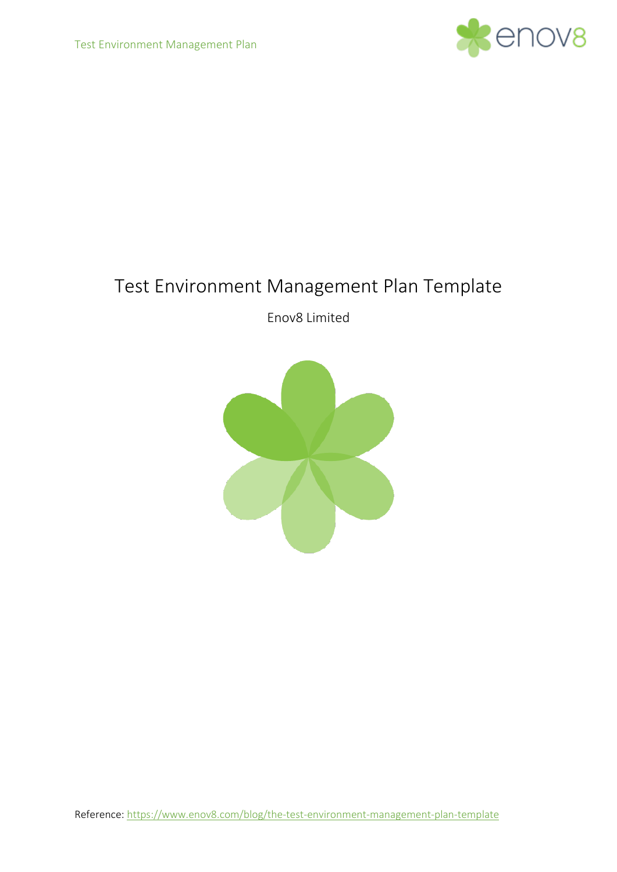

# Test Environment Management Plan Template

Enov8 Limited

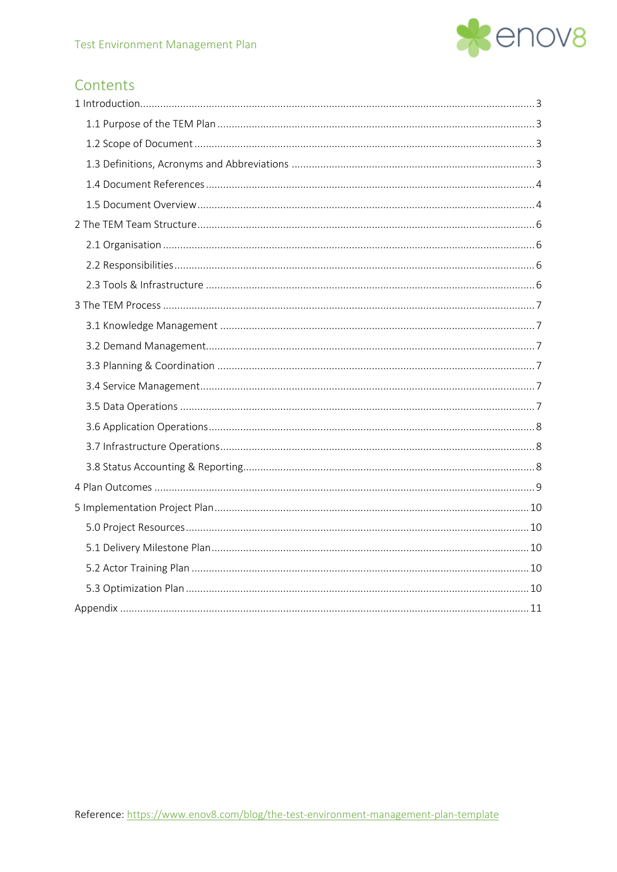

# Contents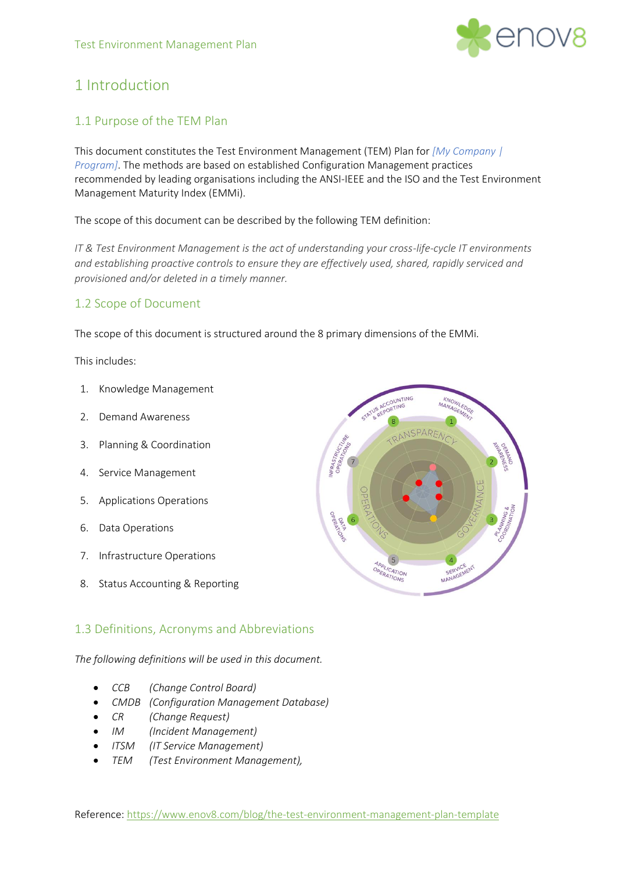

# <span id="page-2-0"></span>1 Introduction

# <span id="page-2-1"></span>1.1 Purpose of the TEM Plan

This document constitutes the Test Environment Management (TEM) Plan for *[My Company | Program]*. The methods are based on established Configuration Management practices recommended by leading organisations including the ANSI-IEEE and the ISO and the Test Environment Management Maturity Index (EMMi).

The scope of this document can be described by the following TEM definition:

*IT & Test Environment Management is the act of understanding your cross-life-cycle IT environments and establishing proactive controls to ensure they are effectively used, shared, rapidly serviced and provisioned and/or deleted in a timely manner.*

# <span id="page-2-2"></span>1.2 Scope of Document

The scope of this document is structured around the 8 primary dimensions of the EMMi.

This includes:

- 1. Knowledge Management
- 2. Demand Awareness
- 3. Planning & Coordination
- 4. Service Management
- 5. Applications Operations
- 6. Data Operations
- 7. Infrastructure Operations
- 8. Status Accounting & Reporting

# <span id="page-2-3"></span>1.3 Definitions, Acronyms and Abbreviations

*The following definitions will be used in this document.*

- *CCB (Change Control Board)*
- *CMDB (Configuration Management Database)*
- *CR (Change Request)*
- *IM (Incident Management)*
- *ITSM (IT Service Management)*
- *TEM (Test Environment Management),*

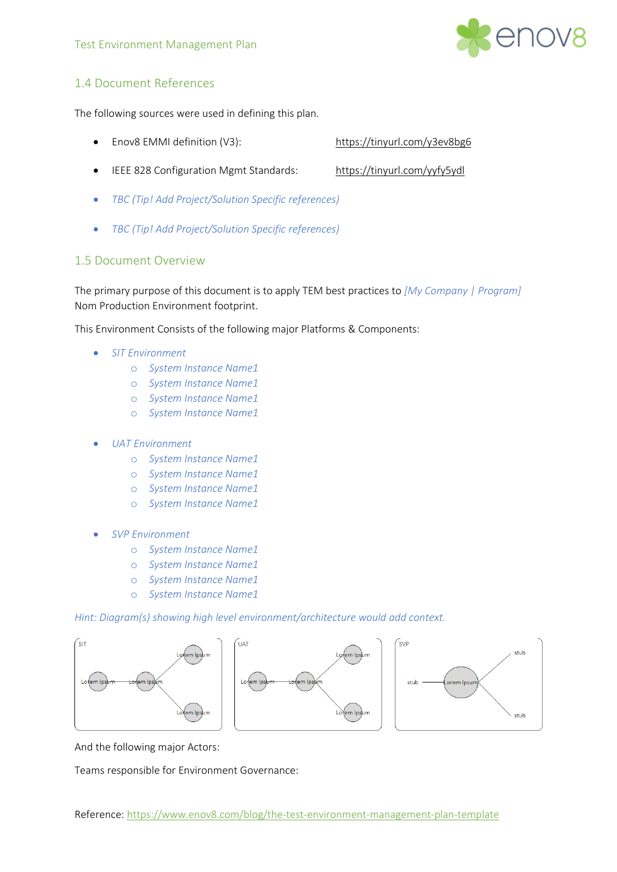

# <span id="page-3-0"></span>1.4 Document References

The following sources were used in defining this plan.

- Enov8 EMMI definition (V3): <https://tinyurl.com/y3ev8bg6>
- IEEE 828 Configuration Mgmt Standards: <https://tinyurl.com/yyfy5ydl>
- *TBC (Tip! Add Project/Solution Specific references)*
- *TBC (Tip! Add Project/Solution Specific references)*

### <span id="page-3-1"></span>1.5 Document Overview

The primary purpose of this document is to apply TEM best practices to *[My Company | Program]*  Nom Production Environment footprint.

This Environment Consists of the following major Platforms & Components:

- *SIT Environment*
	- o *System Instance Name1*
	- o *System Instance Name1*
	- o *System Instance Name1*
	- o *System Instance Name1*

### • *UAT Environment*

- o *System Instance Name1*
- o *System Instance Name1*
- o *System Instance Name1*
- o *System Instance Name1*
- *SVP Environment*
	- o *System Instance Name1*
	- o *System Instance Name1*
	- o *System Instance Name1*
	- o *System Instance Name1*

*Hint: Diagram(s) showing high level environment/architecture would add context.*







And the following major Actors:

Teams responsible for Environment Governance: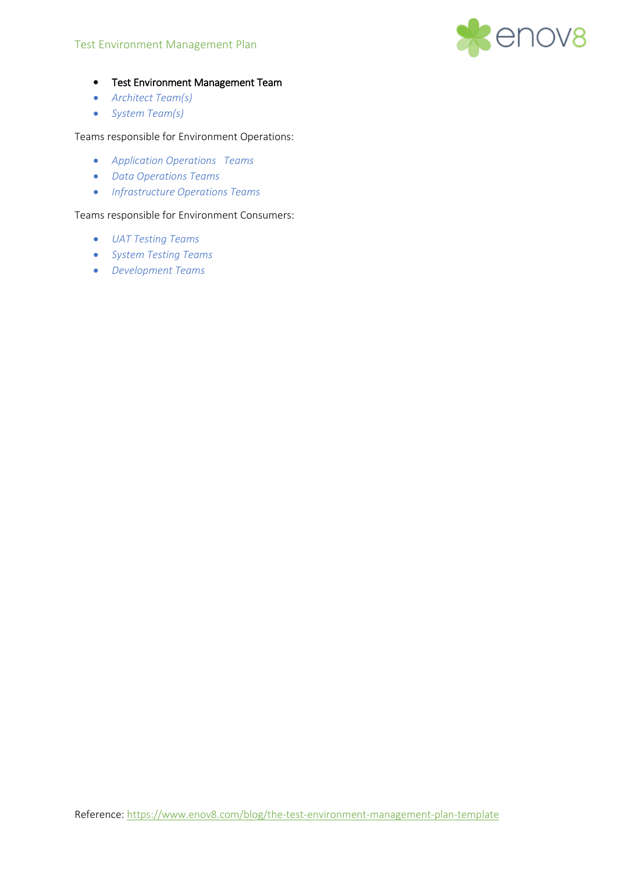#### Test Environment Management Plan



- Test Environment Management Team
- *Architect Team(s)*
- *System Team(s)*

Teams responsible for Environment Operations:

- *Application Operations Teams*
- *Data Operations Teams*
- *Infrastructure Operations Teams*

#### Teams responsible for Environment Consumers:

- *UAT Testing Teams*
- *System Testing Teams*
- *Development Teams*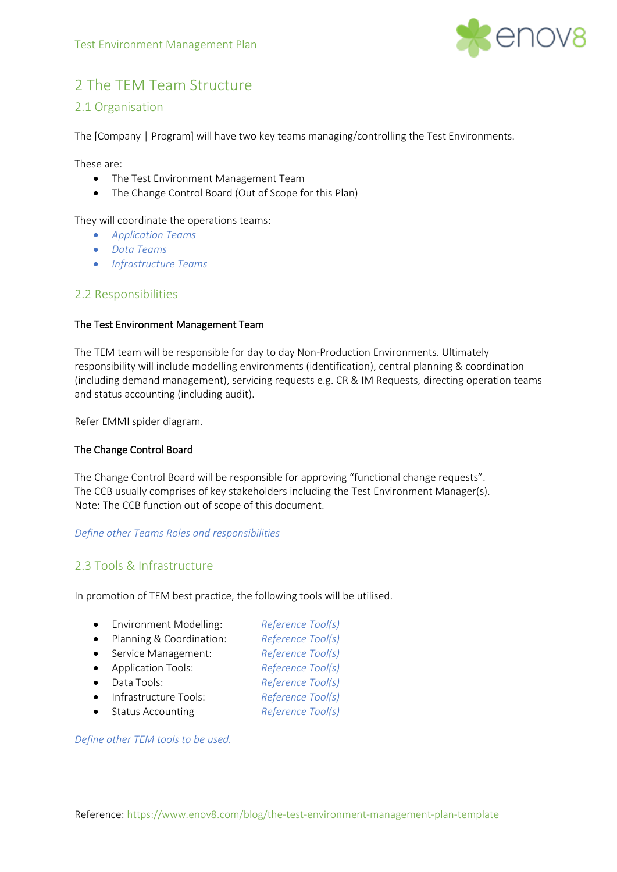

# <span id="page-5-0"></span>2 The TEM Team Structure

### <span id="page-5-1"></span>2.1 Organisation

The [Company | Program] will have two key teams managing/controlling the Test Environments.

These are:

- The Test Environment Management Team
- The Change Control Board (Out of Scope for this Plan)

They will coordinate the operations teams:

- *Application Teams*
- *Data Teams*
- *Infrastructure Teams*

### <span id="page-5-2"></span>2.2 Responsibilities

#### The Test Environment Management Team

The TEM team will be responsible for day to day Non-Production Environments. Ultimately responsibility will include modelling environments (identification), central planning & coordination (including demand management), servicing requests e.g. CR & IM Requests, directing operation teams and status accounting (including audit).

Refer EMMI spider diagram.

### The Change Control Board

The Change Control Board will be responsible for approving "functional change requests". The CCB usually comprises of key stakeholders including the Test Environment Manager(s). Note: The CCB function out of scope of this document.

### *Define other Teams Roles and responsibilities*

# <span id="page-5-3"></span>2.3 Tools & Infrastructure

In promotion of TEM best practice, the following tools will be utilised.

- Environment Modelling: *Reference Tool(s)*
- Planning & Coordination: *Reference Tool(s)*
- Service Management: *Reference Tool(s)*
- Application Tools: *Reference Tool(s)*
- Data Tools: *Reference Tool(s)*
	-
- Infrastructure Tools: *Reference Tool(s)*
- Status Accounting *Reference Tool(s)*

*Define other TEM tools to be used.*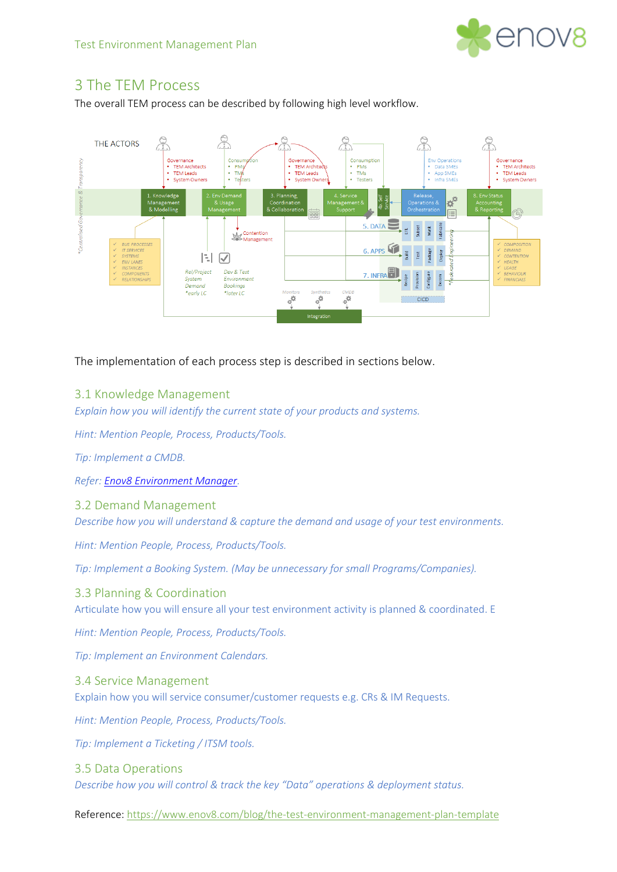

# <span id="page-6-0"></span>3 The TEM Process

The overall TEM process can be described by following high level workflow.



The implementation of each process step is described in sections below.

# <span id="page-6-1"></span>3.1 Knowledge Management

*Explain how you will identify the current state of your products and systems.*

*Hint: Mention People, Process, Products/Tools.*

*Tip: Implement a CMDB.*

*Refer[: Enov8 Environment Manager.](https://www.enov8.com/it-test-environment-management/)*

<span id="page-6-2"></span>3.2 Demand Management

*Describe how you will understand & capture the demand and usage of your test environments.* 

*Hint: Mention People, Process, Products/Tools.*

*Tip: Implement a Booking System. (May be unnecessary for small Programs/Companies).*

<span id="page-6-3"></span>3.3 Planning & Coordination

Articulate how you will ensure all your test environment activity is planned & coordinated. E

*Hint: Mention People, Process, Products/Tools.*

*Tip: Implement an Environment Calendars.*

### <span id="page-6-4"></span>3.4 Service Management

Explain how you will service consumer/customer requests e.g. CRs & IM Requests.

*Hint: Mention People, Process, Products/Tools.*

*Tip: Implement a Ticketing / ITSM tools.*

<span id="page-6-5"></span>3.5 Data Operations *Describe how you will control & track the key "Data" operations & deployment status.*

Reference[: https://www.enov8.com/blog/the-test-environment-management-plan-template](https://www.enov8.com/blog/the-test-environment-management-plan-template)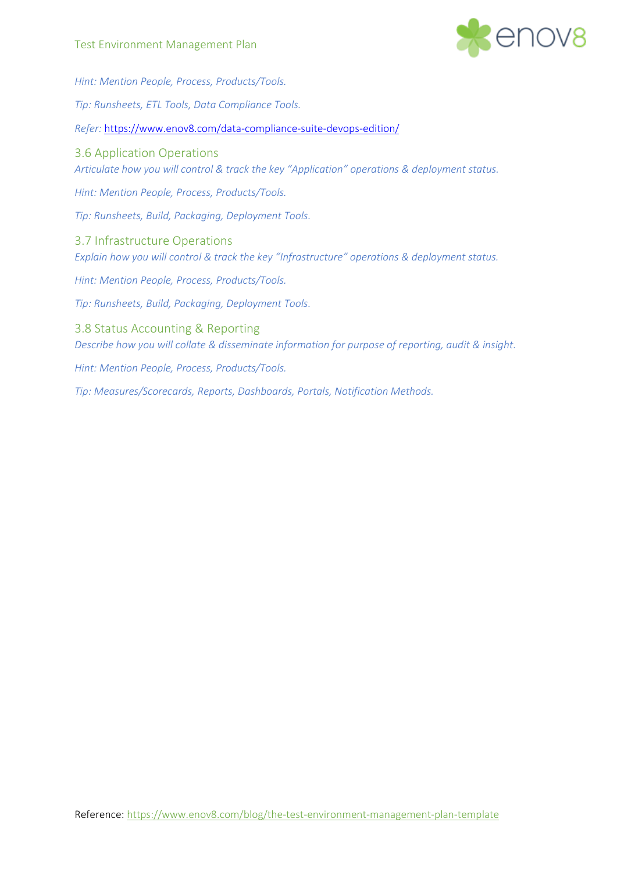

<span id="page-7-2"></span><span id="page-7-1"></span><span id="page-7-0"></span>*Hint: Mention People, Process, Products/Tools. Tip: Runsheets, ETL Tools, Data Compliance Tools. Refer:* <https://www.enov8.com/data-compliance-suite-devops-edition/> 3.6 Application Operations *Articulate how you will control & track the key "Application" operations & deployment status. Hint: Mention People, Process, Products/Tools. Tip: Runsheets, Build, Packaging, Deployment Tools.* 3.7 Infrastructure Operations *Explain how you will control & track the key "Infrastructure" operations & deployment status. Hint: Mention People, Process, Products/Tools. Tip: Runsheets, Build, Packaging, Deployment Tools.* 3.8 Status Accounting & Reporting *Describe how you will collate & disseminate information for purpose of reporting, audit & insight. Hint: Mention People, Process, Products/Tools. Tip: Measures/Scorecards, Reports, Dashboards, Portals, Notification Methods.*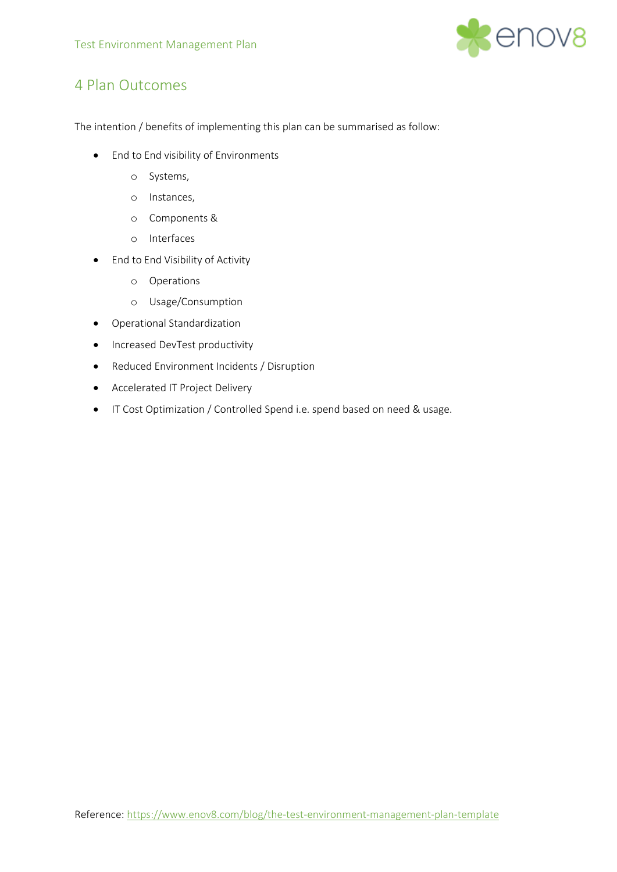

# <span id="page-8-0"></span>4 Plan Outcomes

The intention / benefits of implementing this plan can be summarised as follow:

- End to End visibility of Environments
	- o Systems,
	- o Instances,
	- o Components &
	- o Interfaces
- End to End Visibility of Activity
	- o Operations
	- o Usage/Consumption
- Operational Standardization
- Increased DevTest productivity
- Reduced Environment Incidents / Disruption
- Accelerated IT Project Delivery
- IT Cost Optimization / Controlled Spend i.e. spend based on need & usage.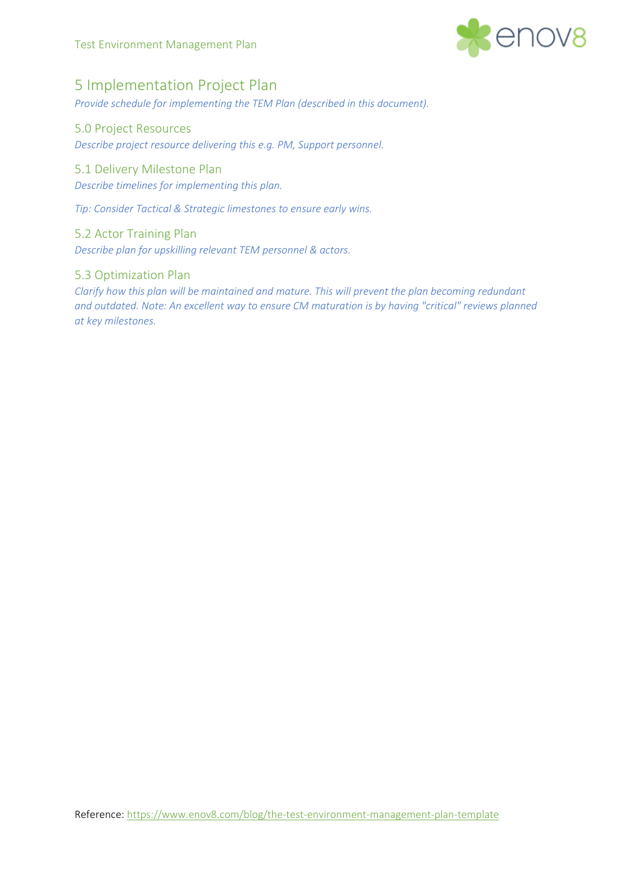

# <span id="page-9-0"></span>5 Implementation Project Plan

*Provide schedule for implementing the TEM Plan (described in this document).*

# <span id="page-9-1"></span>5.0 Project Resources

*Describe project resource delivering this e.g. PM, Support personnel.*

# <span id="page-9-2"></span>5.1 Delivery Milestone Plan

*Describe timelines for implementing this plan.*

*Tip: Consider Tactical & Strategic limestones to ensure early wins.*

### <span id="page-9-3"></span>5.2 Actor Training Plan

*Describe plan for upskilling relevant TEM personnel & actors.*

# <span id="page-9-4"></span>5.3 Optimization Plan

*Clarify how this plan will be maintained and mature. This will prevent the plan becoming redundant and outdated. Note: An excellent way to ensure CM maturation is by having "critical" reviews planned at key milestones.*